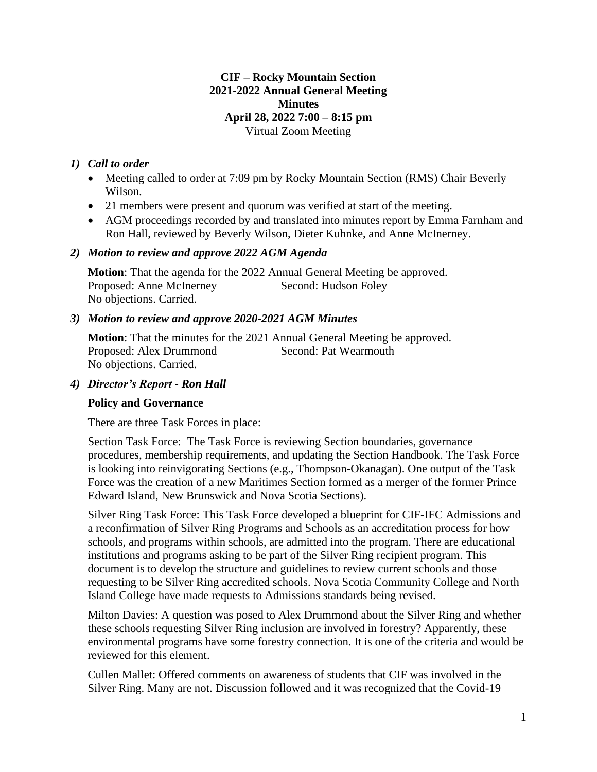## **CIF – Rocky Mountain Section 2021-2022 Annual General Meeting Minutes April 28, 2022 7:00 – 8:15 pm** Virtual Zoom Meeting

## *1) Call to order*

- Meeting called to order at 7:09 pm by Rocky Mountain Section (RMS) Chair Beverly Wilson.
- 21 members were present and quorum was verified at start of the meeting.
- AGM proceedings recorded by and translated into minutes report by Emma Farnham and Ron Hall, reviewed by Beverly Wilson, Dieter Kuhnke, and Anne McInerney.

#### *2) Motion to review and approve 2022 AGM Agenda*

**Motion**: That the agenda for the 2022 Annual General Meeting be approved. Proposed: Anne McInerney Second: Hudson Foley No objections. Carried.

#### *3) Motion to review and approve 2020-2021 AGM Minutes*

**Motion**: That the minutes for the 2021 Annual General Meeting be approved. Proposed: Alex Drummond Second: Pat Wearmouth No objections. Carried.

#### *4) Director's Report - Ron Hall*

## **Policy and Governance**

There are three Task Forces in place:

Section Task Force: The Task Force is reviewing Section boundaries, governance procedures, membership requirements, and updating the Section Handbook. The Task Force is looking into reinvigorating Sections (e.g., Thompson-Okanagan). One output of the Task Force was the creation of a new Maritimes Section formed as a merger of the former Prince Edward Island, New Brunswick and Nova Scotia Sections).

Silver Ring Task Force: This Task Force developed a blueprint for CIF-IFC Admissions and a reconfirmation of Silver Ring Programs and Schools as an accreditation process for how schools, and programs within schools, are admitted into the program. There are educational institutions and programs asking to be part of the Silver Ring recipient program. This document is to develop the structure and guidelines to review current schools and those requesting to be Silver Ring accredited schools. Nova Scotia Community College and North Island College have made requests to Admissions standards being revised.

Milton Davies: A question was posed to Alex Drummond about the Silver Ring and whether these schools requesting Silver Ring inclusion are involved in forestry? Apparently, these environmental programs have some forestry connection. It is one of the criteria and would be reviewed for this element.

Cullen Mallet: Offered comments on awareness of students that CIF was involved in the Silver Ring. Many are not. Discussion followed and it was recognized that the Covid-19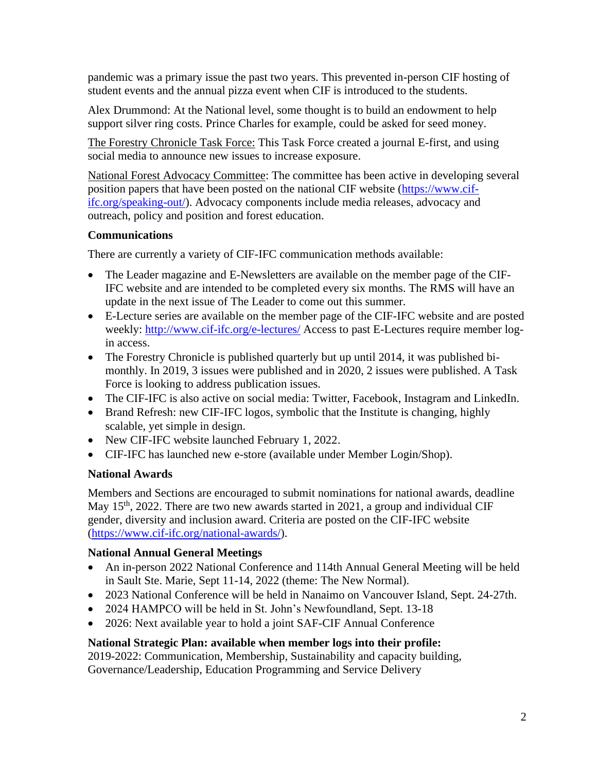pandemic was a primary issue the past two years. This prevented in-person CIF hosting of student events and the annual pizza event when CIF is introduced to the students.

Alex Drummond: At the National level, some thought is to build an endowment to help support silver ring costs. Prince Charles for example, could be asked for seed money.

The Forestry Chronicle Task Force: This Task Force created a journal E-first, and using social media to announce new issues to increase exposure.

National Forest Advocacy Committee: The committee has been active in developing several position papers that have been posted on the national CIF website [\(https://www.cif](https://www.cif-ifc.org/speaking-out/)[ifc.org/speaking-out/\)](https://www.cif-ifc.org/speaking-out/). Advocacy components include media releases, advocacy and outreach, policy and position and forest education.

## **Communications**

There are currently a variety of CIF-IFC communication methods available:

- The Leader magazine and E-Newsletters are available on the member page of the CIF-IFC website and are intended to be completed every six months. The RMS will have an update in the next issue of The Leader to come out this summer.
- E-Lecture series are available on the member page of the CIF-IFC website and are posted weekly:<http://www.cif-ifc.org/e-lectures/> Access to past E-Lectures require member login access.
- The Forestry Chronicle is published quarterly but up until 2014, it was published bimonthly. In 2019, 3 issues were published and in 2020, 2 issues were published. A Task Force is looking to address publication issues.
- The CIF-IFC is also active on social media: Twitter, Facebook, Instagram and LinkedIn.
- Brand Refresh: new CIF-IFC logos, symbolic that the Institute is changing, highly scalable, yet simple in design.
- New CIF-IFC website launched February 1, 2022.
- CIF-IFC has launched new e-store (available under Member Login/Shop).

## **National Awards**

Members and Sections are encouraged to submit nominations for national awards, deadline May  $15<sup>th</sup>$ , 2022. There are two new awards started in 2021, a group and individual CIF gender, diversity and inclusion award. Criteria are posted on the CIF-IFC website [\(https://www.cif-ifc.org/national-awards/\)](https://www.cif-ifc.org/national-awards/).

## **National Annual General Meetings**

- An in-person 2022 National Conference and 114th Annual General Meeting will be held in Sault Ste. Marie, Sept 11-14, 2022 (theme: The New Normal).
- 2023 National Conference will be held in Nanaimo on Vancouver Island, Sept. 24-27th.
- 2024 HAMPCO will be held in St. John's Newfoundland, Sept. 13-18
- 2026: Next available year to hold a joint SAF-CIF Annual Conference

# **National Strategic Plan: available when member logs into their profile:**

2019-2022: Communication, Membership, Sustainability and capacity building, Governance/Leadership, Education Programming and Service Delivery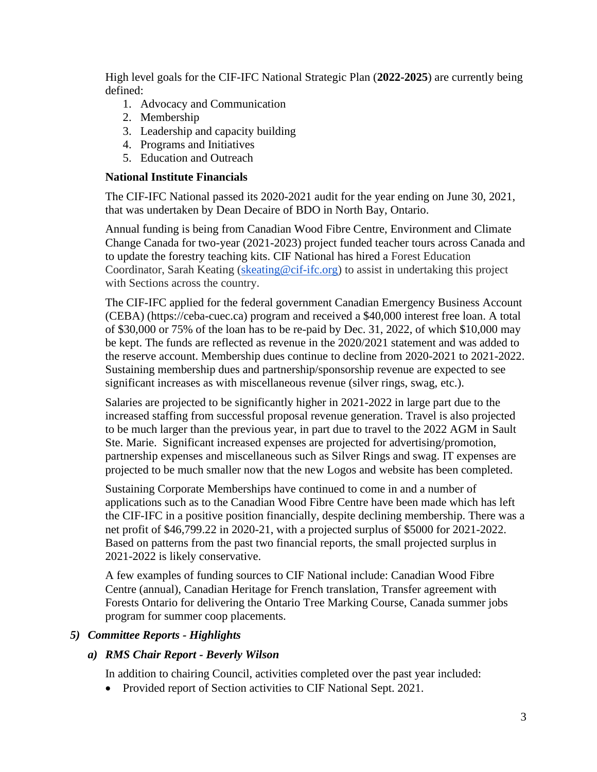High level goals for the CIF-IFC National Strategic Plan (**2022-2025**) are currently being defined:

- 1. Advocacy and Communication
- 2. Membership
- 3. Leadership and capacity building
- 4. Programs and Initiatives
- 5. Education and Outreach

#### **National Institute Financials**

The CIF-IFC National passed its 2020-2021 audit for the year ending on June 30, 2021, that was undertaken by Dean Decaire of BDO in North Bay, Ontario.

Annual funding is being from Canadian Wood Fibre Centre, Environment and Climate Change Canada for two-year (2021-2023) project funded teacher tours across Canada and to update the forestry teaching kits. CIF National has hired a Forest Education Coordinator, Sarah Keating [\(skeating@cif-ifc.org\)](mailto:skeating@cif-ifc.org) to assist in undertaking this project with Sections across the country.

The CIF-IFC applied for the federal government Canadian Emergency Business Account (CEBA) (https://ceba-cuec.ca) program and received a \$40,000 interest free loan. A total of \$30,000 or 75% of the loan has to be re-paid by Dec. 31, 2022, of which \$10,000 may be kept. The funds are reflected as revenue in the 2020/2021 statement and was added to the reserve account. Membership dues continue to decline from 2020-2021 to 2021-2022. Sustaining membership dues and partnership/sponsorship revenue are expected to see significant increases as with miscellaneous revenue (silver rings, swag, etc.).

Salaries are projected to be significantly higher in 2021-2022 in large part due to the increased staffing from successful proposal revenue generation. Travel is also projected to be much larger than the previous year, in part due to travel to the 2022 AGM in Sault Ste. Marie. Significant increased expenses are projected for advertising/promotion, partnership expenses and miscellaneous such as Silver Rings and swag. IT expenses are projected to be much smaller now that the new Logos and website has been completed.

Sustaining Corporate Memberships have continued to come in and a number of applications such as to the Canadian Wood Fibre Centre have been made which has left the CIF-IFC in a positive position financially, despite declining membership. There was a net profit of \$46,799.22 in 2020-21, with a projected surplus of \$5000 for 2021-2022. Based on patterns from the past two financial reports, the small projected surplus in 2021-2022 is likely conservative.

A few examples of funding sources to CIF National include: Canadian Wood Fibre Centre (annual), Canadian Heritage for French translation, Transfer agreement with Forests Ontario for delivering the Ontario Tree Marking Course, Canada summer jobs program for summer coop placements.

#### *5) Committee Reports - Highlights*

#### *a) RMS Chair Report - Beverly Wilson*

In addition to chairing Council, activities completed over the past year included:

• Provided report of Section activities to CIF National Sept. 2021.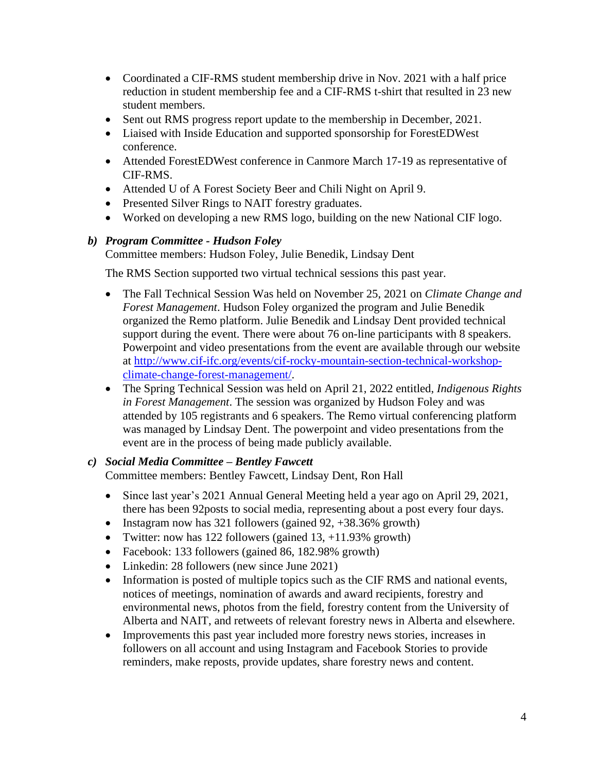- Coordinated a CIF-RMS student membership drive in Nov. 2021 with a half price reduction in student membership fee and a CIF-RMS t-shirt that resulted in 23 new student members.
- Sent out RMS progress report update to the membership in December, 2021.
- Liaised with Inside Education and supported sponsorship for ForestEDWest conference.
- Attended ForestEDWest conference in Canmore March 17-19 as representative of CIF-RMS.
- Attended U of A Forest Society Beer and Chili Night on April 9.
- Presented Silver Rings to NAIT forestry graduates.
- Worked on developing a new RMS logo, building on the new National CIF logo.

## *b) Program Committee - Hudson Foley*

Committee members: Hudson Foley, Julie Benedik, Lindsay Dent

The RMS Section supported two virtual technical sessions this past year.

- The Fall Technical Session Was held on November 25, 2021 on *Climate Change and Forest Management*. Hudson Foley organized the program and Julie Benedik organized the Remo platform. Julie Benedik and Lindsay Dent provided technical support during the event. There were about 76 on-line participants with 8 speakers. Powerpoint and video presentations from the event are available through our website at [http://www.cif-ifc.org/events/cif-rocky-mountain-section-technical-workshop](http://www.cif-ifc.org/events/cif-rocky-mountain-section-technical-workshop-climate-change-forest-management/)[climate-change-forest-management/.](http://www.cif-ifc.org/events/cif-rocky-mountain-section-technical-workshop-climate-change-forest-management/)
- The Spring Technical Session was held on April 21, 2022 entitled, *Indigenous Rights in Forest Management*. The session was organized by Hudson Foley and was attended by 105 registrants and 6 speakers. The Remo virtual conferencing platform was managed by Lindsay Dent. The powerpoint and video presentations from the event are in the process of being made publicly available.

## *c) Social Media Committee – Bentley Fawcett*

Committee members: Bentley Fawcett, Lindsay Dent, Ron Hall

- Since last year's 2021 Annual General Meeting held a year ago on April 29, 2021, there has been 92posts to social media, representing about a post every four days.
- Instagram now has 321 followers (gained 92, +38.36% growth)
- Twitter: now has 122 followers (gained  $13, +11.93\%$  growth)
- Facebook: 133 followers (gained 86, 182.98% growth)
- Linkedin: 28 followers (new since June 2021)
- Information is posted of multiple topics such as the CIF RMS and national events, notices of meetings, nomination of awards and award recipients, forestry and environmental news, photos from the field, forestry content from the University of Alberta and NAIT, and retweets of relevant forestry news in Alberta and elsewhere.
- Improvements this past year included more forestry news stories, increases in followers on all account and using Instagram and Facebook Stories to provide reminders, make reposts, provide updates, share forestry news and content.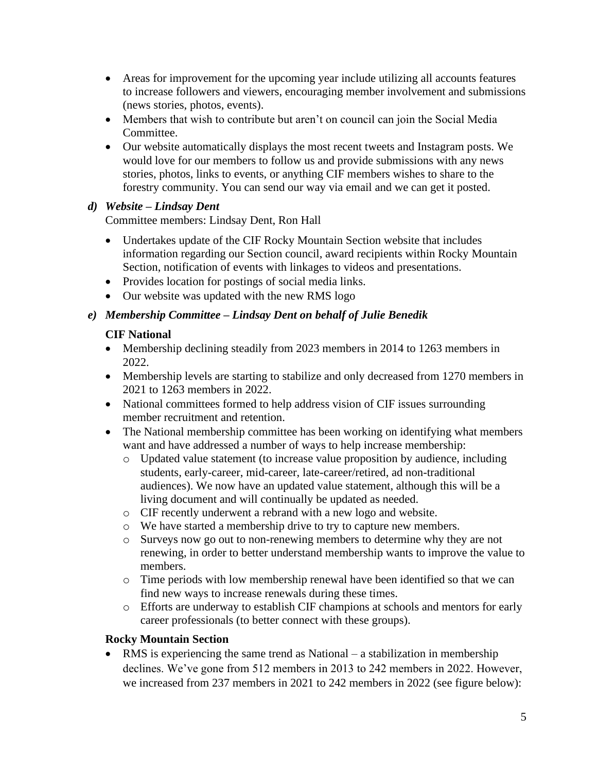- Areas for improvement for the upcoming year include utilizing all accounts features to increase followers and viewers, encouraging member involvement and submissions (news stories, photos, events).
- Members that wish to contribute but aren't on council can join the Social Media Committee.
- Our website automatically displays the most recent tweets and Instagram posts. We would love for our members to follow us and provide submissions with any news stories, photos, links to events, or anything CIF members wishes to share to the forestry community. You can send our way via email and we can get it posted.

# *d) Website – Lindsay Dent*

Committee members: Lindsay Dent, Ron Hall

- Undertakes update of the CIF Rocky Mountain Section website that includes information regarding our Section council, award recipients within Rocky Mountain Section, notification of events with linkages to videos and presentations.
- Provides location for postings of social media links.
- Our website was updated with the new RMS logo

# *e) Membership Committee – Lindsay Dent on behalf of Julie Benedik*

## **CIF National**

- Membership declining steadily from 2023 members in 2014 to 1263 members in 2022.
- Membership levels are starting to stabilize and only decreased from 1270 members in 2021 to 1263 members in 2022.
- National committees formed to help address vision of CIF issues surrounding member recruitment and retention.
- The National membership committee has been working on identifying what members want and have addressed a number of ways to help increase membership:
	- o Updated value statement (to increase value proposition by audience, including students, early-career, mid-career, late-career/retired, ad non-traditional audiences). We now have an updated value statement, although this will be a living document and will continually be updated as needed.
	- o CIF recently underwent a rebrand with a new logo and website.
	- o We have started a membership drive to try to capture new members.
	- o Surveys now go out to non-renewing members to determine why they are not renewing, in order to better understand membership wants to improve the value to members.
	- $\circ$  Time periods with low membership renewal have been identified so that we can find new ways to increase renewals during these times.
	- o Efforts are underway to establish CIF champions at schools and mentors for early career professionals (to better connect with these groups).

## **Rocky Mountain Section**

• RMS is experiencing the same trend as National – a stabilization in membership declines. We've gone from 512 members in 2013 to 242 members in 2022. However, we increased from 237 members in 2021 to 242 members in 2022 (see figure below):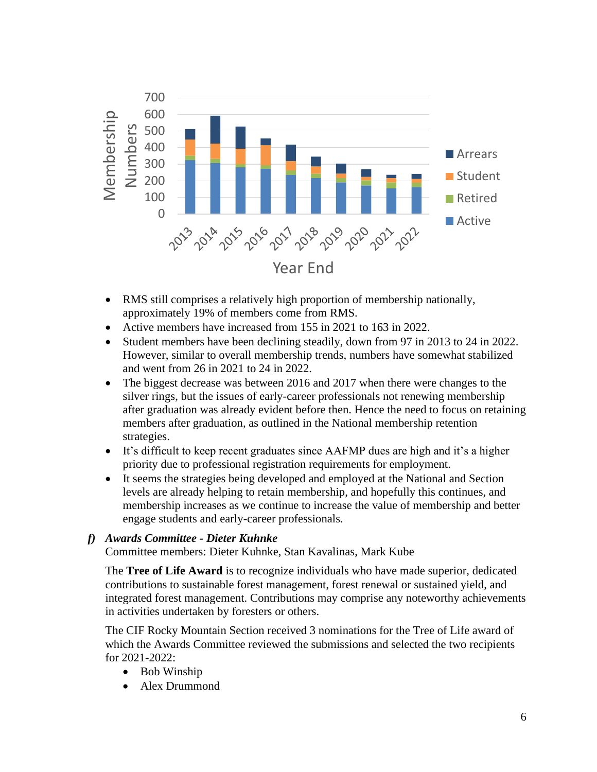

- RMS still comprises a relatively high proportion of membership nationally, approximately 19% of members come from RMS.
- Active members have increased from 155 in 2021 to 163 in 2022.
- Student members have been declining steadily, down from 97 in 2013 to 24 in 2022. However, similar to overall membership trends, numbers have somewhat stabilized and went from 26 in 2021 to 24 in 2022.
- The biggest decrease was between 2016 and 2017 when there were changes to the silver rings, but the issues of early-career professionals not renewing membership after graduation was already evident before then. Hence the need to focus on retaining members after graduation, as outlined in the National membership retention strategies.
- It's difficult to keep recent graduates since AAFMP dues are high and it's a higher priority due to professional registration requirements for employment.
- It seems the strategies being developed and employed at the National and Section levels are already helping to retain membership, and hopefully this continues, and membership increases as we continue to increase the value of membership and better engage students and early-career professionals.

## *f) Awards Committee - Dieter Kuhnke*

Committee members: Dieter Kuhnke, Stan Kavalinas, Mark Kube

The **Tree of Life Award** is to recognize individuals who have made superior, dedicated contributions to sustainable forest management, forest renewal or sustained yield, and integrated forest management. Contributions may comprise any noteworthy achievements in activities undertaken by foresters or others.

The CIF Rocky Mountain Section received 3 nominations for the Tree of Life award of which the Awards Committee reviewed the submissions and selected the two recipients for 2021-2022:

- Bob Winship
- Alex Drummond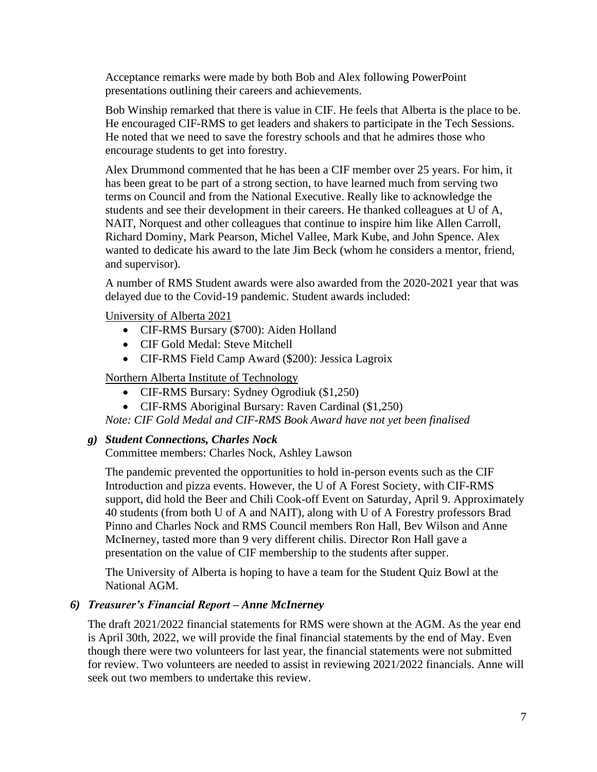Acceptance remarks were made by both Bob and Alex following PowerPoint presentations outlining their careers and achievements.

Bob Winship remarked that there is value in CIF. He feels that Alberta is the place to be. He encouraged CIF-RMS to get leaders and shakers to participate in the Tech Sessions. He noted that we need to save the forestry schools and that he admires those who encourage students to get into forestry.

Alex Drummond commented that he has been a CIF member over 25 years. For him, it has been great to be part of a strong section, to have learned much from serving two terms on Council and from the National Executive. Really like to acknowledge the students and see their development in their careers. He thanked colleagues at U of A, NAIT, Norquest and other colleagues that continue to inspire him like Allen Carroll, Richard Dominy, Mark Pearson, Michel Vallee, Mark Kube, and John Spence. Alex wanted to dedicate his award to the late Jim Beck (whom he considers a mentor, friend, and supervisor).

A number of RMS Student awards were also awarded from the 2020-2021 year that was delayed due to the Covid-19 pandemic. Student awards included:

University of Alberta 2021

- CIF-RMS Bursary (\$700): Aiden Holland
- CIF Gold Medal: Steve Mitchell
- CIF-RMS Field Camp Award (\$200): Jessica Lagroix

Northern Alberta Institute of Technology

- CIF-RMS Bursary: Sydney Ogrodiuk (\$1,250)
- CIF-RMS Aboriginal Bursary: Raven Cardinal (\$1,250)

*Note: CIF Gold Medal and CIF-RMS Book Award have not yet been finalised*

## *g) Student Connections, Charles Nock*

Committee members: Charles Nock, Ashley Lawson

The pandemic prevented the opportunities to hold in-person events such as the CIF Introduction and pizza events. However, the U of A Forest Society, with CIF-RMS support, did hold the Beer and Chili Cook-off Event on Saturday, April 9. Approximately 40 students (from both U of A and NAIT), along with U of A Forestry professors Brad Pinno and Charles Nock and RMS Council members Ron Hall, Bev Wilson and Anne McInerney, tasted more than 9 very different chilis. Director Ron Hall gave a presentation on the value of CIF membership to the students after supper.

The University of Alberta is hoping to have a team for the Student Quiz Bowl at the National AGM.

# *6) Treasurer's Financial Report – Anne McInerney*

The draft 2021/2022 financial statements for RMS were shown at the AGM. As the year end is April 30th, 2022, we will provide the final financial statements by the end of May. Even though there were two volunteers for last year, the financial statements were not submitted for review. Two volunteers are needed to assist in reviewing 2021/2022 financials. Anne will seek out two members to undertake this review.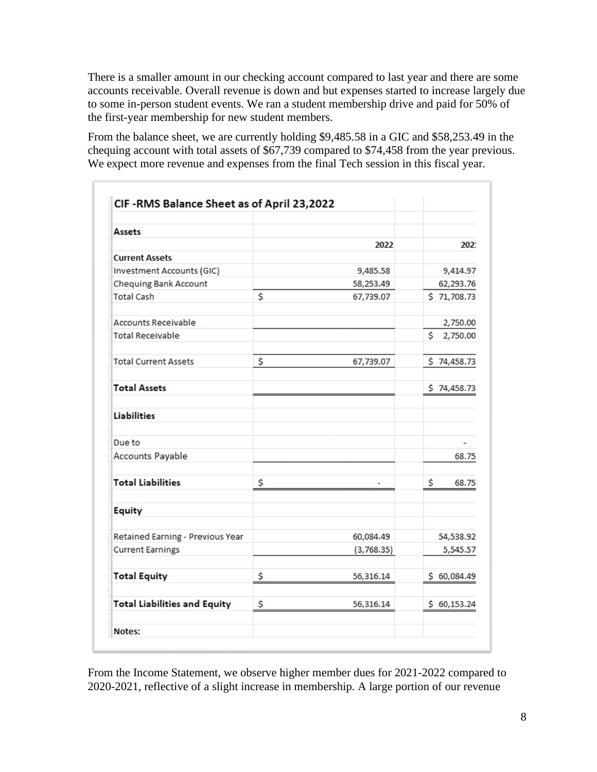There is a smaller amount in our checking account compared to last year and there are some accounts receivable. Overall revenue is down and but expenses started to increase largely due to some in-person student events. We ran a student membership drive and paid for 50% of the first-year membership for new student members.

From the balance sheet, we are currently holding \$9,485.58 in a GIC and \$58,253.49 in the chequing account with total assets of \$67,739 compared to \$74,458 from the year previous. We expect more revenue and expenses from the final Tech session in this fiscal year.

| <b>Assets</b>                       |                 |                |
|-------------------------------------|-----------------|----------------|
|                                     | 2022            | 2021           |
| <b>Current Assets</b>               |                 |                |
| <b>Investment Accounts (GIC)</b>    | 9,485.58        | 9,414.97       |
| <b>Chequing Bank Account</b>        | 58,253.49       | 62,293.76      |
| <b>Total Cash</b>                   | \$<br>67,739.07 | \$71,708.73    |
| <b>Accounts Receivable</b>          |                 | 2,750.00       |
| <b>Total Receivable</b>             |                 | \$<br>2,750.00 |
| <b>Total Current Assets</b>         | \$<br>67,739.07 | \$74,458.73    |
| <b>Total Assets</b>                 |                 | \$74,458.73    |
| <b>Liabilities</b>                  |                 |                |
| Due to                              |                 | $\overline{a}$ |
| <b>Accounts Payable</b>             |                 | 68.75          |
| <b>Total Liabilities</b>            | \$              | \$<br>68.75    |
| <b>Equity</b>                       |                 |                |
| Retained Earning - Previous Year    | 60,084.49       | 54,538.92      |
| <b>Current Earnings</b>             | (3,768.35)      | 5,545.57       |
| <b>Total Equity</b>                 | \$<br>56,316.14 | \$60,084.49    |
| <b>Total Liabilities and Equity</b> | \$<br>56,316.14 | \$60,153.24    |

From the Income Statement, we observe higher member dues for 2021-2022 compared to 2020-2021, reflective of a slight increase in membership. A large portion of our revenue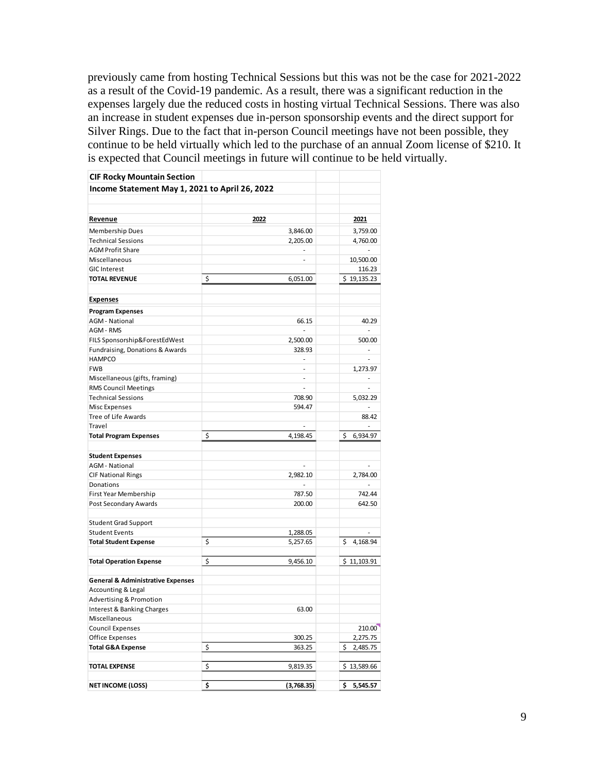previously came from hosting Technical Sessions but this was not be the case for 2021-2022 as a result of the Covid-19 pandemic. As a result, there was a significant reduction in the expenses largely due the reduced costs in hosting virtual Technical Sessions. There was also an increase in student expenses due in-person sponsorship events and the direct support for Silver Rings. Due to the fact that in-person Council meetings have not been possible, they continue to be held virtually which led to the purchase of an annual Zoom license of \$210. It is expected that Council meetings in future will continue to be held virtually.

| <b>CIF Rocky Mountain Section</b>              |                          |                          |
|------------------------------------------------|--------------------------|--------------------------|
| Income Statement May 1, 2021 to April 26, 2022 |                          |                          |
|                                                |                          |                          |
|                                                |                          |                          |
| <u>Revenue</u>                                 | 2022                     | 2021                     |
| Membership Dues                                | 3,846.00                 | 3,759.00                 |
| <b>Technical Sessions</b>                      | 2,205.00                 | 4,760.00                 |
| <b>AGM Profit Share</b>                        | ä,                       |                          |
| Miscellaneous                                  | ÷                        | 10,500.00                |
| <b>GIC Interest</b>                            |                          | 116.23                   |
| <b>TOTAL REVENUE</b>                           | \$<br>6,051.00           | \$19,135.23              |
|                                                |                          |                          |
| <b>Expenses</b>                                |                          |                          |
| <b>Program Expenses</b>                        |                          |                          |
| <b>AGM</b> - National                          | 66.15                    | 40.29                    |
| AGM - RMS                                      | ÷.                       | ÷.                       |
| FILS Sponsorship&ForestEdWest                  | 2,500.00                 | 500.00                   |
| Fundraising, Donations & Awards                | 328.93                   |                          |
| <b>HAMPCO</b>                                  | ÷                        | $\overline{\phantom{a}}$ |
| <b>FWB</b>                                     | ÷.                       | 1,273.97                 |
| Miscellaneous (gifts, framing)                 | $\overline{\phantom{m}}$ |                          |
| <b>RMS Council Meetings</b>                    | ÷.                       |                          |
| <b>Technical Sessions</b>                      | 708.90                   | 5,032.29                 |
| <b>Misc Expenses</b>                           | 594.47                   |                          |
| Tree of Life Awards                            |                          | 88.42                    |
| Travel                                         | ä,                       |                          |
| <b>Total Program Expenses</b>                  | \$<br>4,198.45           | \$<br>6,934.97           |
|                                                |                          |                          |
| <b>Student Expenses</b>                        |                          |                          |
| <b>AGM</b> - National                          |                          |                          |
| <b>CIF National Rings</b>                      | 2,982.10                 | 2,784.00                 |
| Donations                                      |                          |                          |
| First Year Membership                          | 787.50                   | 742.44                   |
| Post Secondary Awards                          | 200.00                   | 642.50                   |
| <b>Student Grad Support</b>                    |                          |                          |
| <b>Student Events</b>                          | 1,288.05                 |                          |
| <b>Total Student Expense</b>                   | \$<br>5,257.65           | \$<br>4,168.94           |
|                                                |                          |                          |
| <b>Total Operation Expense</b>                 | \$<br>9,456.10           | \$11,103.91              |
|                                                |                          |                          |
| <b>General &amp; Administrative Expenses</b>   |                          |                          |
| Accounting & Legal                             |                          |                          |
| <b>Advertising &amp; Promotion</b>             |                          |                          |
| Interest & Banking Charges                     | 63.00                    |                          |
| Miscellaneous                                  |                          |                          |
| <b>Council Expenses</b>                        |                          | 210.00                   |
| Office Expenses                                | 300.25                   | 2,275.75                 |
| <b>Total G&amp;A Expense</b>                   | \$<br>363.25             | 2,485.75<br>\$           |
|                                                |                          |                          |
| <b>TOTAL EXPENSE</b>                           | \$<br>9,819.35           | \$13,589.66              |
| <b>NET INCOME (LOSS)</b>                       | \$<br>(3,768.35)         | 5,545.57<br>\$.          |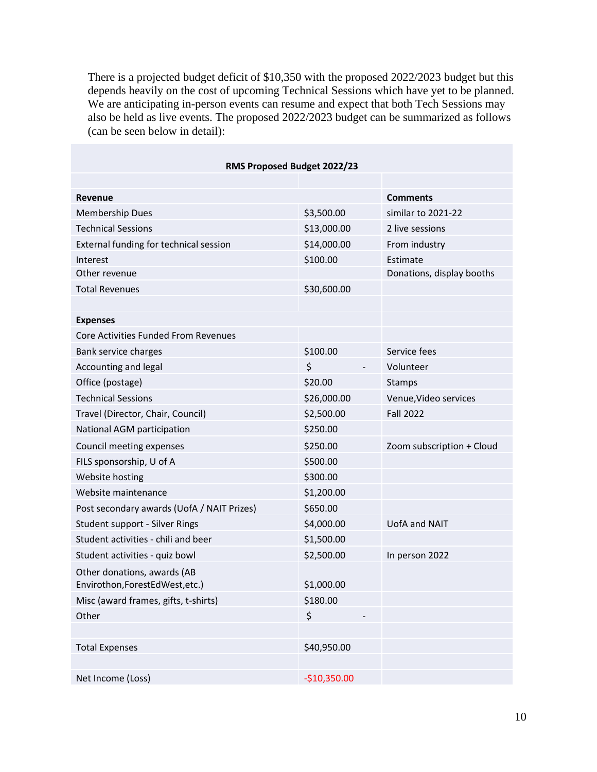There is a projected budget deficit of \$10,350 with the proposed 2022/2023 budget but this depends heavily on the cost of upcoming Technical Sessions which have yet to be planned. We are anticipating in-person events can resume and expect that both Tech Sessions may also be held as live events. The proposed 2022/2023 budget can be summarized as follows (can be seen below in detail):

| RMS Proposed Budget 2022/23                |               |                           |  |  |
|--------------------------------------------|---------------|---------------------------|--|--|
|                                            |               |                           |  |  |
| Revenue                                    |               | <b>Comments</b>           |  |  |
| <b>Membership Dues</b>                     | \$3,500.00    | similar to 2021-22        |  |  |
| <b>Technical Sessions</b>                  | \$13,000.00   | 2 live sessions           |  |  |
| External funding for technical session     | \$14,000.00   | From industry             |  |  |
| Interest                                   | \$100.00      | Estimate                  |  |  |
| Other revenue                              |               | Donations, display booths |  |  |
| <b>Total Revenues</b>                      | \$30,600.00   |                           |  |  |
|                                            |               |                           |  |  |
| <b>Expenses</b>                            |               |                           |  |  |
| Core Activities Funded From Revenues       |               |                           |  |  |
| Bank service charges                       | \$100.00      | Service fees              |  |  |
| Accounting and legal                       | \$            | Volunteer                 |  |  |
| Office (postage)                           | \$20.00       | Stamps                    |  |  |
| <b>Technical Sessions</b>                  | \$26,000.00   | Venue, Video services     |  |  |
| Travel (Director, Chair, Council)          | \$2,500.00    | <b>Fall 2022</b>          |  |  |
| National AGM participation                 | \$250.00      |                           |  |  |
| Council meeting expenses                   | \$250.00      | Zoom subscription + Cloud |  |  |
| FILS sponsorship, U of A                   | \$500.00      |                           |  |  |
| Website hosting                            | \$300.00      |                           |  |  |
| Website maintenance                        | \$1,200.00    |                           |  |  |
| Post secondary awards (UofA / NAIT Prizes) | \$650.00      |                           |  |  |
| Student support - Silver Rings             | \$4,000.00    | UofA and NAIT             |  |  |
| Student activities - chili and beer        | \$1,500.00    |                           |  |  |
| Student activities - quiz bowl             | \$2,500.00    | In person 2022            |  |  |
| Other donations, awards (AB                |               |                           |  |  |
| Envirothon, ForestEdWest, etc.)            | \$1,000.00    |                           |  |  |
| Misc (award frames, gifts, t-shirts)       | \$180.00      |                           |  |  |
| Other                                      | \$            |                           |  |  |
|                                            |               |                           |  |  |
| <b>Total Expenses</b>                      | \$40,950.00   |                           |  |  |
|                                            |               |                           |  |  |
| Net Income (Loss)                          | $-$10,350.00$ |                           |  |  |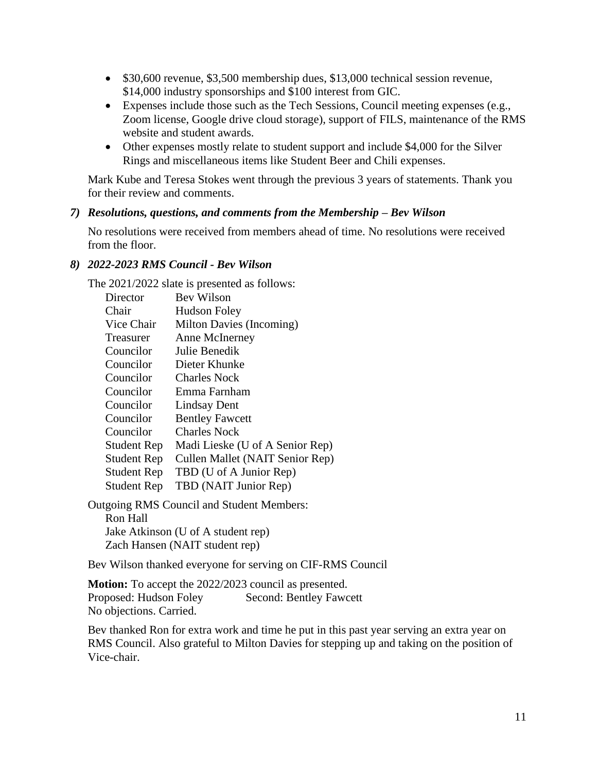- \$30,600 revenue, \$3,500 membership dues, \$13,000 technical session revenue, \$14,000 industry sponsorships and \$100 interest from GIC.
- Expenses include those such as the Tech Sessions, Council meeting expenses (e.g., Zoom license, Google drive cloud storage), support of FILS, maintenance of the RMS website and student awards.
- Other expenses mostly relate to student support and include \$4,000 for the Silver Rings and miscellaneous items like Student Beer and Chili expenses.

Mark Kube and Teresa Stokes went through the previous 3 years of statements. Thank you for their review and comments.

#### *7) Resolutions, questions, and comments from the Membership – Bev Wilson*

No resolutions were received from members ahead of time. No resolutions were received from the floor.

#### *8) 2022-2023 RMS Council - Bev Wilson*

The 2021/2022 slate is presented as follows:

| Director           | Bev Wilson                      |
|--------------------|---------------------------------|
| Chair              | <b>Hudson Foley</b>             |
| Vice Chair         | Milton Davies (Incoming)        |
| Treasurer          | Anne McInerney                  |
| Councilor          | Julie Benedik                   |
| Councilor          | Dieter Khunke                   |
| Councilor          | <b>Charles Nock</b>             |
| Councilor          | Emma Farnham                    |
| Councilor          | <b>Lindsay Dent</b>             |
| Councilor          | <b>Bentley Fawcett</b>          |
| Councilor          | <b>Charles Nock</b>             |
| <b>Student Rep</b> | Madi Lieske (U of A Senior Rep) |
| <b>Student Rep</b> | Cullen Mallet (NAIT Senior Rep) |
| Student Rep        | TBD (U of A Junior Rep)         |
| <b>Student Rep</b> | TBD (NAIT Junior Rep)           |
| $\mathbf{L}$       | $\cdots$ $\cdots$ $\cdots$      |

Outgoing RMS Council and Student Members: Ron Hall Jake Atkinson (U of A student rep) Zach Hansen (NAIT student rep)

Bev Wilson thanked everyone for serving on CIF-RMS Council

**Motion:** To accept the 2022/2023 council as presented. Proposed: Hudson Foley Second: Bentley Fawcett No objections. Carried.

Bev thanked Ron for extra work and time he put in this past year serving an extra year on RMS Council. Also grateful to Milton Davies for stepping up and taking on the position of Vice-chair.